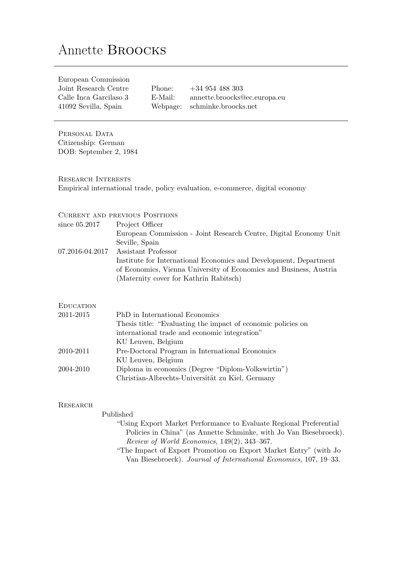# Annette Broocks

| European Commission    |          |                              |
|------------------------|----------|------------------------------|
| Joint Research Centre  | Phone:   | $+34954488303$               |
| Calle Inca Garcilaso 3 | E-Mail:  | annette.broocks@ec.europa.eu |
| 41092 Sevilla, Spain   | Webpage: | schminke.broocks.net         |
|                        |          |                              |

PERSONAL DATA Citizenship: German DOB: September 2, 1984

Research Interests Empirical international trade, policy evaluation, e-commerce, digital economy

### Current and previous Positions

| since 05.2017    | Project Officer                                                    |
|------------------|--------------------------------------------------------------------|
|                  | European Commission - Joint Research Centre, Digital Economy Unit  |
|                  | Seville, Spain                                                     |
| 07.2016-04.2017  | Assistant Professor                                                |
|                  | Institute for International Economics and Development, Department  |
|                  | of Economics, Vienna University of Economics and Business, Austria |
|                  | (Maternity cover for Kathrin Rabitsch)                             |
|                  |                                                                    |
| <b>EDUCATION</b> |                                                                    |
| 2011-2015        | PhD in International Economics                                     |
|                  | Thesis title: "Evaluating the impact of economic policies on       |
|                  | international trade and economic integration"                      |

|           | KU Leuven, Belgium                                 |
|-----------|----------------------------------------------------|
| 2010-2011 | Pre-Doctoral Program in International Economics    |
|           | KU Leuven, Belgium                                 |
| 2004-2010 | Diploma in economics (Degree "Diplom-Volkswirtin") |
|           | Christian-Albrechts-Universität zu Kiel, Germany   |

### **RESEARCH**

## Published<br>"Usin

| "Using Export Market Performance to Evaluate Regional Preferential |
|--------------------------------------------------------------------|
| Policies in China" (as Annette Schminke, with Jo Van Biesebroeck). |
| Review of World Economics, $149(2)$ , $343-367$ .                  |
| "The Impect of Europe Depending on Expect Morrist Entre" (with Le  |

"The Impact of Export Promotion on Export Market Entry" (with Jo Van Biesebroeck). Journal of International Economics, 107, 19–33.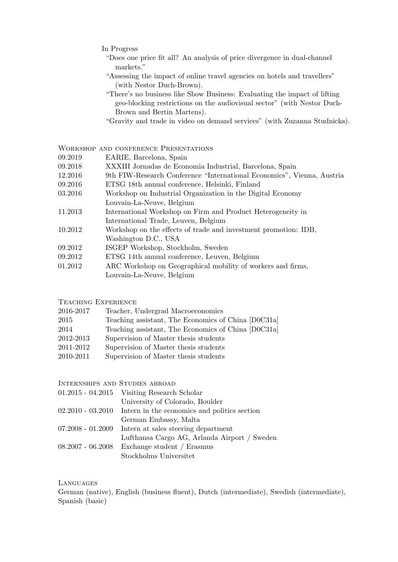- In Progress
	- "Does one price fit all? An analysis of price divergence in dual-channel markets."
	- "Assessing the impact of online travel agencies on hotels and travellers" (with Nestor Duch-Brown).
	- "There's no business like Show Business: Evaluating the impact of lifting geo-blocking restrictions on the audiovisual sector" (with Nestor Duch-Brown and Bertin Martens).
	- "Gravity and trade in video on demand services" (with Zuzanna Studnicka).

Workshop and conference Presentations

- 09.2019 EARIE, Barcelona, Spain
- 09.2018 XXXIII Jornadas de Economia Industrial, Barcelona, Spain
- 12.2016 9th FIW-Research Conference "International Economics", Vienna, Austria
- 09.2016 ETSG 18th annual conference, Helsinki, Finland
- 03.2016 Workshop on Industrial Organization in the Digital Economy Louvain-La-Neuve, Belgium
- 11.2013 International Workshop on Firm and Product Heterogeneity in International Trade, Leuven, Belgium
- 10.2012 Workshop on the effects of trade and investment promotion: IDB, Washington D.C., USA
- 09.2012 ISGEP Workshop, Stockholm, Sweden
- 09.2012 ETSG 14th annual conference, Leuven, Belgium
- 01.2012 ARC Workshop on Geographical mobility of workers and firms,
- Louvain-La-Neuve, Belgium

### Teaching Experience

| 2016-2017 | Teacher, Undergrad Macroeconomics                   |
|-----------|-----------------------------------------------------|
| 2015      | Teaching assistant, The Economics of China [D0C31a] |
| 2014      | Teaching assistant, The Economics of China [D0C31a] |

- 2012-2013 Supervision of Master thesis students
- 2011-2012 Supervision of Master thesis students
- 2010-2011 Supervision of Master thesis students

### Internships and Studies abroad

|                     | $01.2015 - 04.2015$ Visiting Research Scholar                    |
|---------------------|------------------------------------------------------------------|
|                     | University of Colorado, Boulder                                  |
|                     | $02.2010 - 03.2010$ Intern in the economics and politics section |
|                     | German Embassy, Malta                                            |
|                     | $07.2008 - 01.2009$ Intern at sales steering department          |
|                     | Lufthansa Cargo AG, Arlanda Airport / Sweden                     |
| $08.2007 - 06.2008$ | Exchange student / Erasmus                                       |
|                     | Stockholms Universitet                                           |
|                     |                                                                  |

#### Languages

German (native), English (business fluent), Dutch (intermediate), Swedish (intermediate), Spanish (basic)